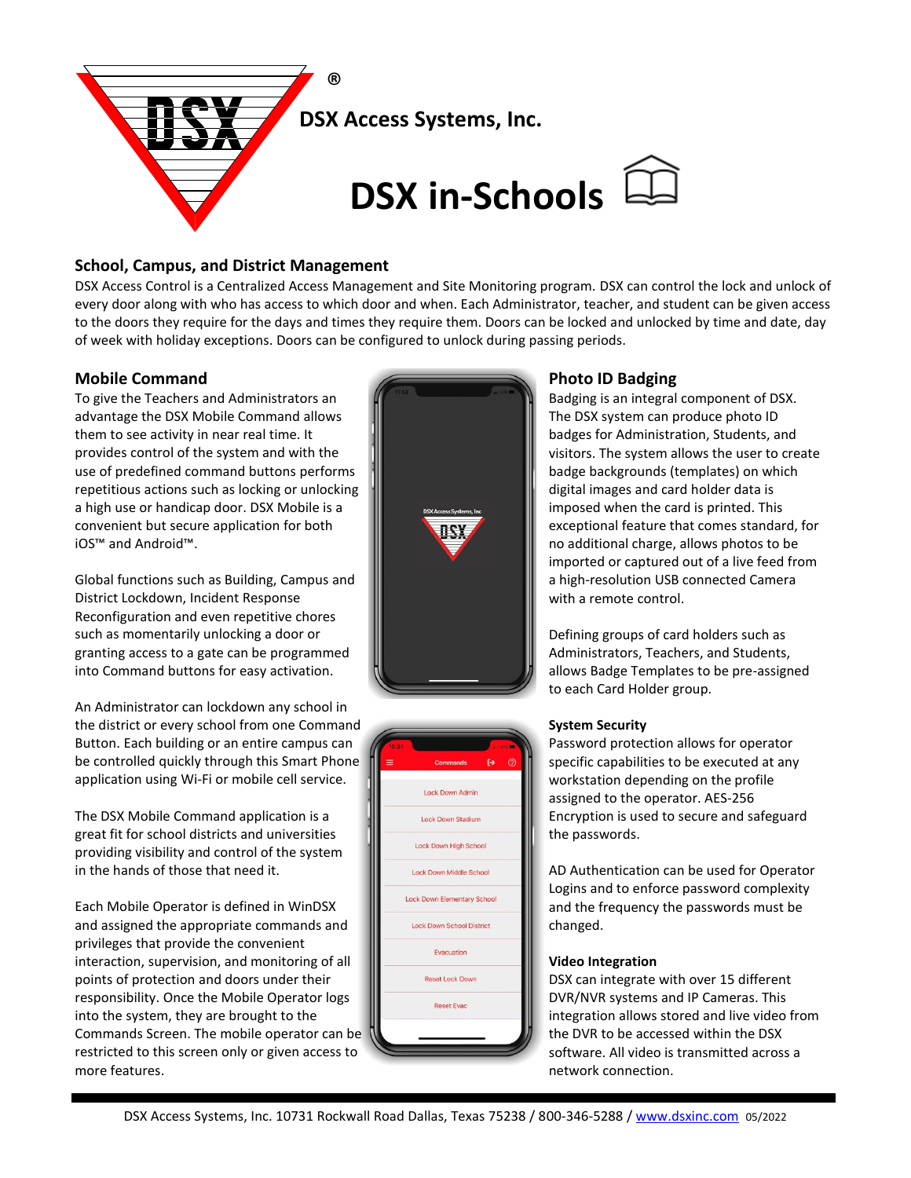

# **School, Campus, and District Management**

DSX Access Control is a Centralized Access Management and Site Monitoring program. DSX can control the lock and unlock of every door along with who has access to which door and when. Each Administrator, teacher, and student can be given access to the doors they require for the days and times they require them. Doors can be locked and unlocked by time and date, day of week with holiday exceptions. Doors can be configured to unlock during passing periods.

# **Mobile Command**

To give the Teachers and Administrators an advantage the DSX Mobile Command allows them to see activity in near real time. It provides control of the system and with the use of predefined command buttons performs repetitious actions such as locking or unlocking a high use or handicap door. DSX Mobile is a convenient but secure application for both iOS™ and Android™.

Global functions such as Building, Campus and District Lockdown, Incident Response Reconfiguration and even repetitive chores such as momentarily unlocking a door or granting access to a gate can be programmed into Command buttons for easy activation.

An Administrator can lockdown any school in the district or every school from one Command Button. Each building or an entire campus can be controlled quickly through this Smart Phone application using Wi-Fi or mobile cell service.

The DSX Mobile Command application is a great fit for school districts and universities providing visibility and control of the system in the hands of those that need it.

Each Mobile Operator is defined in WinDSX and assigned the appropriate commands and privileges that provide the convenient interaction, supervision, and monitoring of all points of protection and doors under their responsibility. Once the Mobile Operator logs into the system, they are brought to the Commands Screen. The mobile operator can be restricted to this screen only or given access to more features.





# **Photo ID Badging**

Badging is an integral component of DSX. The DSX system can produce photo ID badges for Administration, Students, and visitors. The system allows the user to create badge backgrounds (templates) on which digital images and card holder data is imposed when the card is printed. This exceptional feature that comes standard, for no additional charge, allows photos to be imported or captured out of a live feed from a high-resolution USB connected Camera with a remote control.

Defining groups of card holders such as Administrators, Teachers, and Students, allows Badge Templates to be pre-assigned to each Card Holder group.

## **System Security**

Password protection allows for operator specific capabilities to be executed at any workstation depending on the profile assigned to the operator. AES-256 Encryption is used to secure and safeguard the passwords.

AD Authentication can be used for Operator Logins and to enforce password complexity and the frequency the passwords must be changed.

#### **Video Integration**

DSX can integrate with over 15 different DVR/NVR systems and IP Cameras. This integration allows stored and live video from the DVR to be accessed within the DSX software. All video is transmitted across a network connection.